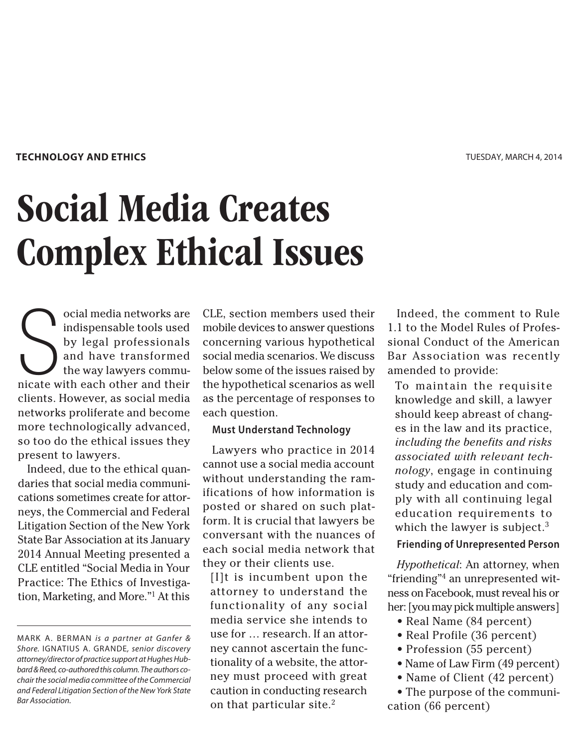### **TECHNOLOGY AND ETHICS**

# Social Media Creates Complex Ethical Issues

S ocial media networks are indispensable tools used by legal professionals and have transformed the way lawyers communicate with each other and their clients. However, as social media networks proliferate and become more technologically advanced, so too do the ethical issues they present to lawyers.

Indeed, due to the ethical quandaries that social media communications sometimes create for attorneys, the Commercial and Federal Litigation Section of the New York State Bar Association at its January 2014 Annual Meeting presented a CLE entitled "Social Media in Your Practice: The Ethics of Investigation, Marketing, and More."1 At this

CLE, section members used their mobile devices to answer questions concerning various hypothetical social media scenarios. We discuss below some of the issues raised by the hypothetical scenarios as well as the percentage of responses to each question.

## **Must Understand Technology**

Lawyers who practice in 2014 cannot use a social media account without understanding the ramifications of how information is posted or shared on such platform. It is crucial that lawyers be conversant with the nuances of each social media network that they or their clients use.

[I]t is incumbent upon the attorney to understand the functionality of any social media service she intends to use for … research. If an attorney cannot ascertain the functionality of a website, the attorney must proceed with great caution in conducting research on that particular site.<sup>2</sup>

Indeed, the comment to Rule 1.1 to the Model Rules of Professional Conduct of the American Bar Association was recently amended to provide:

To maintain the requisite knowledge and skill, a lawyer should keep abreast of changes in the law and its practice, *including the benefits and risks associated with relevant technology*, engage in continuing study and education and comply with all continuing legal education requirements to which the lawyer is subject. $3$ 

# **Friending of Unrepresented Person**

*Hypothetical*: An attorney, when "friending"4 an unrepresented witness on Facebook, must reveal his or her: [you may pick multiple answers]

- Real Name (84 percent)
- Real Profile (36 percent)
- Profession (55 percent)
- Name of Law Firm (49 percent)
- Name of Client (42 percent)

• The purpose of the communication (66 percent)

MARK A. BERMAN is a partner at Ganfer & Shore. IGNATIUS A. GRANDE, senior discovery attorney/director of practice support at Hughes Hubbard & Reed, co-authored this column. The authors cochair the social media committee of the Commercial and Federal Litigation Section of the New York State Bar Association.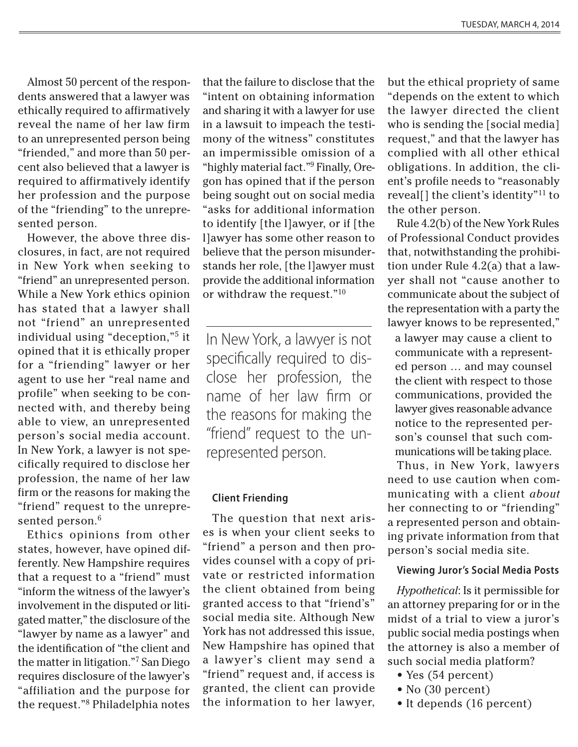Almost 50 percent of the respondents answered that a lawyer was ethically required to affirmatively reveal the name of her law firm to an unrepresented person being "friended," and more than 50 percent also believed that a lawyer is required to affirmatively identify her profession and the purpose of the "friending" to the unrepresented person.

However, the above three disclosures, in fact, are not required in New York when seeking to "friend" an unrepresented person. While a New York ethics opinion has stated that a lawyer shall not "friend" an unrepresented individual using "deception,"<sup>5</sup> it opined that it is ethically proper for a "friending" lawyer or her agent to use her "real name and profile" when seeking to be connected with, and thereby being able to view, an unrepresented person's social media account. In New York, a lawyer is not specifically required to disclose her profession, the name of her law firm or the reasons for making the "friend" request to the unrepresented person.<sup>6</sup>

Ethics opinions from other states, however, have opined differently. New Hampshire requires that a request to a "friend" must "inform the witness of the lawyer's involvement in the disputed or litigated matter," the disclosure of the "lawyer by name as a lawyer" and the identification of "the client and the matter in litigation."7 San Diego requires disclosure of the lawyer's "affiliation and the purpose for the request."<sup>8</sup> Philadelphia notes

that the failure to disclose that the "intent on obtaining information and sharing it with a lawyer for use in a lawsuit to impeach the testimony of the witness" constitutes an impermissible omission of a "highly material fact."<sup>9</sup> Finally, Oregon has opined that if the person being sought out on social media "asks for additional information to identify [the l]awyer, or if [the l]awyer has some other reason to believe that the person misunderstands her role, [the l]awyer must provide the additional information or withdraw the request."10

In New York, a lawyer is not specifically required to disclose her profession, the name of her law firm or the reasons for making the "friend" request to the unrepresented person.

### **Client Friending**

The question that next arises is when your client seeks to "friend" a person and then provides counsel with a copy of private or restricted information the client obtained from being granted access to that "friend's" social media site. Although New York has not addressed this issue, New Hampshire has opined that a lawyer's client may send a "friend" request and, if access is granted, the client can provide the information to her lawyer,

but the ethical propriety of same "depends on the extent to which the lawyer directed the client who is sending the [social media] request," and that the lawyer has complied with all other ethical obligations. In addition, the client's profile needs to "reasonably reveal[] the client's identity"11 to the other person.

Rule 4.2(b) of the New York Rules of Professional Conduct provides that, notwithstanding the prohibition under Rule 4.2(a) that a lawyer shall not "cause another to communicate about the subject of the representation with a party the lawyer knows to be represented,"

a lawyer may cause a client to communicate with a represented person … and may counsel the client with respect to those communications, provided the lawyer gives reasonable advance notice to the represented person's counsel that such communications will be taking place.

Thus, in New York, lawyers need to use caution when communicating with a client *about* her connecting to or "friending" a represented person and obtaining private information from that person's social media site.

## **Viewing Juror's Social Media Posts**

*Hypothetical*: Is it permissible for an attorney preparing for or in the midst of a trial to view a juror's public social media postings when the attorney is also a member of such social media platform?

- Yes  $(54$  percent)
- No  $(30$  percent)
- It depends (16 percent)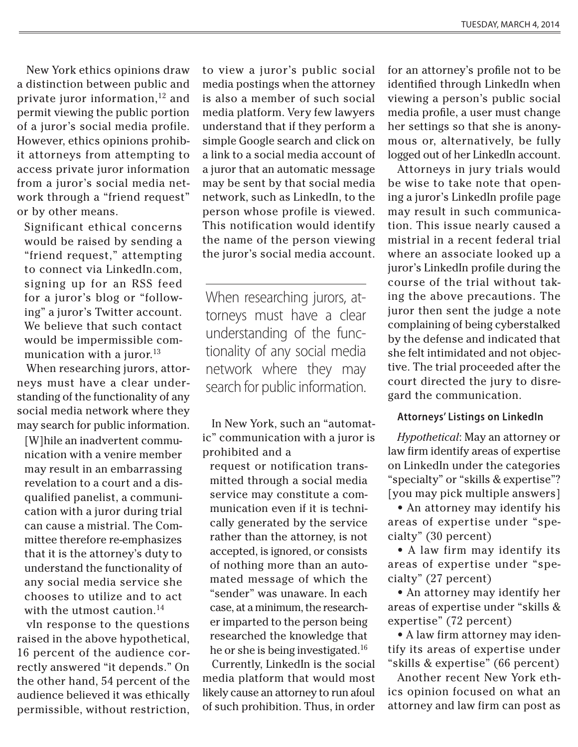New York ethics opinions draw a distinction between public and private juror information, $12$  and permit viewing the public portion of a juror's social media profile. However, ethics opinions prohibit attorneys from attempting to access private juror information from a juror's social media network through a "friend request" or by other means.

Significant ethical concerns would be raised by sending a "friend request," attempting to connect via LinkedIn.com, signing up for an RSS feed for a juror's blog or "following" a juror's Twitter account. We believe that such contact would be impermissible communication with a juror. $13$ 

When researching jurors, attorneys must have a clear understanding of the functionality of any social media network where they may search for public information.

[W]hile an inadvertent communication with a venire member may result in an embarrassing revelation to a court and a disqualified panelist, a communication with a juror during trial can cause a mistrial. The Committee therefore re-emphasizes that it is the attorney's duty to understand the functionality of any social media service she chooses to utilize and to act with the utmost caution. $14$ 

vIn response to the questions raised in the above hypothetical, 16 percent of the audience correctly answered "it depends." On the other hand, 54 percent of the audience believed it was ethically permissible, without restriction,

to view a juror's public social media postings when the attorney is also a member of such social media platform. Very few lawyers understand that if they perform a simple Google search and click on a link to a social media account of a juror that an automatic message may be sent by that social media network, such as LinkedIn, to the person whose profile is viewed. This notification would identify the name of the person viewing the juror's social media account.

When researching jurors, attorneys must have a clear understanding of the functionality of any social media network where they may search for public information.

In New York, such an "automatic" communication with a juror is prohibited and a

request or notification transmitted through a social media service may constitute a communication even if it is technically generated by the service rather than the attorney, is not accepted, is ignored, or consists of nothing more than an automated message of which the "sender" was unaware. In each case, at a minimum, the researcher imparted to the person being researched the knowledge that he or she is being investigated.

Currently, LinkedIn is the social media platform that would most likely cause an attorney to run afoul of such prohibition. Thus, in order

for an attorney's profile not to be identified through LinkedIn when viewing a person's public social media profile, a user must change her settings so that she is anonymous or, alternatively, be fully logged out of her LinkedIn account.

Attorneys in jury trials would be wise to take note that opening a juror's LinkedIn profile page may result in such communication. This issue nearly caused a mistrial in a recent federal trial where an associate looked up a juror's LinkedIn profile during the course of the trial without taking the above precautions. The juror then sent the judge a note complaining of being cyberstalked by the defense and indicated that she felt intimidated and not objective. The trial proceeded after the court directed the jury to disregard the communication.

## **Attorneys' Listings on LinkedIn**

*Hypothetical*: May an attorney or law firm identify areas of expertise on LinkedIn under the categories "specialty" or "skills & expertise"? [you may pick multiple answers]

• An attorney may identify his areas of expertise under "specialty" (30 percent)

• A law firm may identify its areas of expertise under "specialty" (27 percent)

• An attorney may identify her areas of expertise under "skills & expertise" (72 percent)

• A law firm attorney may identify its areas of expertise under "skills & expertise" (66 percent)

Another recent New York ethics opinion focused on what an attorney and law firm can post as